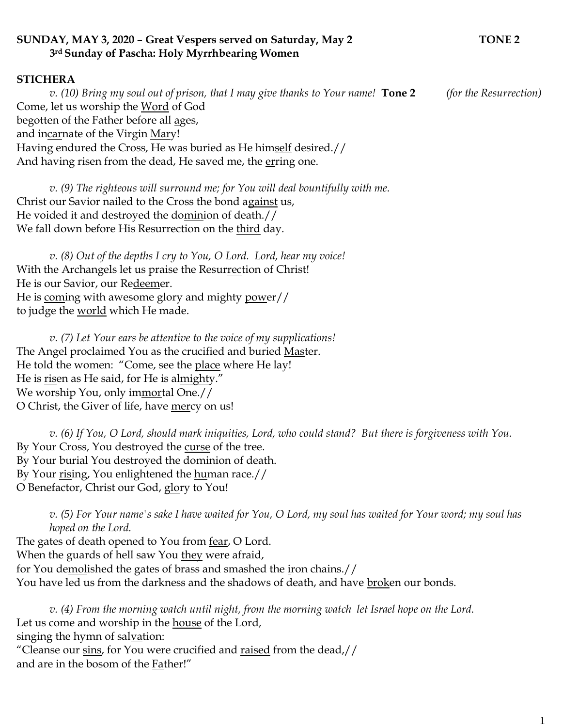## **SUNDAY, MAY 3, 2020 – Great Vespers served on Saturday, May 2 TONE 2 3rd Sunday of Pascha: Holy Myrrhbearing Women**

## **STICHERA**

*v. (10) Bring my soul out of prison, that I may give thanks to Your name!* **Tone 2** *(for the Resurrection)*  Come, let us worship the Word of God begotten of the Father before all ages, and incarnate of the Virgin Mary! Having endured the Cross, He was buried as He himself desired.// And having risen from the dead, He saved me, the erring one.

*v. (9) The righteous will surround me; for You will deal bountifully with me.*  Christ our Savior nailed to the Cross the bond against us, He voided it and destroyed the dominion of death.// We fall down before His Resurrection on the third day.

*v. (8) Out of the depths I cry to You, O Lord. Lord, hear my voice!*  With the Archangels let us praise the Resurrection of Christ! He is our Savior, our Redeemer. He is coming with awesome glory and mighty power// to judge the <u>world</u> which He made.

*v. (7) Let Your ears be attentive to the voice of my supplications!* The Angel proclaimed You as the crucified and buried Master. He told the women: "Come, see the place where He lay! He is risen as He said, for He is almighty." We worship You, only immortal One.// O Christ, the Giver of life, have mercy on us!

*v. (6) If You, O Lord, should mark iniquities, Lord, who could stand? But there is forgiveness with You.*  By Your Cross, You destroyed the curse of the tree. By Your burial You destroyed the dominion of death. By Your rising, You enlightened the human race.// O Benefactor, Christ our God, glory to You!

*v. (5) For Your name's sake I have waited for You, O Lord, my soul has waited for Your word; my soul has hoped on the Lord.* 

The gates of death opened to You from <u>fear</u>, O Lord. When the guards of hell saw You they were afraid, for You demolished the gates of brass and smashed the iron chains.// You have led us from the darkness and the shadows of death, and have broken our bonds.

*v. (4) From the morning watch until night, from the morning watch let Israel hope on the Lord.*  Let us come and worship in the house of the Lord, singing the hymn of salvation: "Cleanse our sins, for You were crucified and raised from the dead,// and are in the bosom of the **Father!**"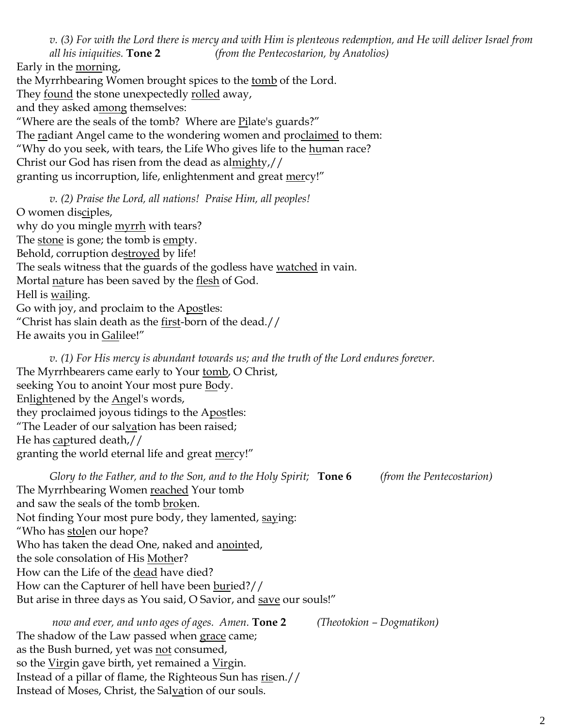*v. (3) For with the Lord there is mercy and with Him is plenteous redemption, and He will deliver Israel from all his iniquities.* **Tone 2** *(from the Pentecostarion, by Anatolios)* Early in the morning, the Myrrhbearing Women brought spices to the tomb of the Lord. They found the stone unexpectedly rolled away, and they asked among themselves: "Where are the seals of the tomb? Where are Pilate's guards?" The radiant Angel came to the wondering women and proclaimed to them: "Why do you seek, with tears, the Life Who gives life to the human race? Christ our God has risen from the dead as almighty,// granting us incorruption, life, enlightenment and great mercy!"

*v. (2) Praise the Lord, all nations! Praise Him, all peoples!* O women disciples, why do you mingle **myrrh** with tears? The stone is gone; the tomb is empty. Behold, corruption destroyed by life! The seals witness that the guards of the godless have watched in vain. Mortal <u>na</u>ture has been saved by the <u>flesh</u> of God. Hell is wailing. Go with joy, and proclaim to the Apostles: "Christ has slain death as the  $first$ -born of the dead.// He awaits you in Galilee!"

*v. (1) For His mercy is abundant towards us; and the truth of the Lord endures forever.*  The Myrrhbearers came early to Your tomb, O Christ, seeking You to anoint Your most pure Body. Enlightened by the Angel's words, they proclaimed joyous tidings to the Apostles: "The Leader of our salvation has been raised; He has captured death,// granting the world eternal life and great mercy!"

*Glory to the Father, and to the Son, and to the Holy Spirit;* **Tone 6** *(from the Pentecostarion)* The Myrrhbearing Women reached Your tomb and saw the seals of the tomb broken. Not finding Your most pure body, they lamented, saying: "Who has stolen our hope? Who has taken the dead One, naked and anointed, the sole consolation of His Mother? How can the Life of the dead have died? How can the Capturer of hell have been buried?// But arise in three days as You said, O Savior, and save our souls!" *now and ever, and unto ages of ages. Amen.* **Tone 2** *(Theotokion – Dogmatikon)*

The shadow of the Law passed when grace came; as the Bush burned, yet was not consumed, so the Virgin gave birth, yet remained a Virgin. Instead of a pillar of flame, the Righteous Sun has risen.// Instead of Moses, Christ, the Salvation of our souls.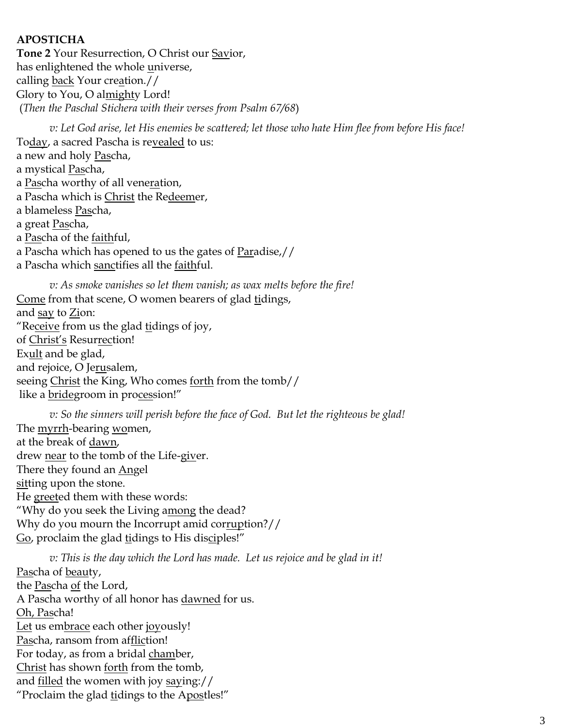## **APOSTICHA**

**Tone 2** Your Resurrection, O Christ our Savior, has enlightened the whole universe, calling back Your creation.// Glory to You, O almighty Lord! (*Then the Paschal Stichera with their verses from Psalm 67/68*)

*v: Let God arise, let His enemies be scattered; let those who hate Him flee from before His face!* Today, a sacred Pascha is revealed to us: a new and holy Pascha, a mystical Pascha, a Pascha worthy of all veneration, a Pascha which is Christ the Redeemer, a blameless <u>Pas</u>cha, a great <u>Pas</u>cha, a Pascha of the faithful, a Pascha which has opened to us the gates of Paradise,// a Pascha which sanctifies all the faithful.

*v: As smoke vanishes so let them vanish; as wax melts before the fire!* Come from that scene, O women bearers of glad tidings, and say to Zion: "Receive from us the glad tidings of joy, of Christ's Resurrection! Exult and be glad, and rejoice, O Jerusalem, seeing Christ the King, Who comes forth from the tomb// like a bridegroom in procession!"

*v: So the sinners will perish before the face of God. But let the righteous be glad!* The myrrh-bearing women, at the break of dawn, drew near to the tomb of the Life-giver. There they found an Angel sitting upon the stone. He greeted them with these words: "Why do you seek the Living among the dead? Why do you mourn the Incorrupt amid corruption?// Go, proclaim the glad tidings to His disciples!"

*v: This is the day which the Lord has made. Let us rejoice and be glad in it!* Pascha of beauty, the Pascha of the Lord, A Pascha worthy of all honor has dawned for us. Oh, Pascha! Let us embrace each other joyously! Pascha, ransom from affliction! For today, as from a bridal chamber, Christ has shown forth from the tomb, and filled the women with joy saying:// "Proclaim the glad tidings to the Apostles!"